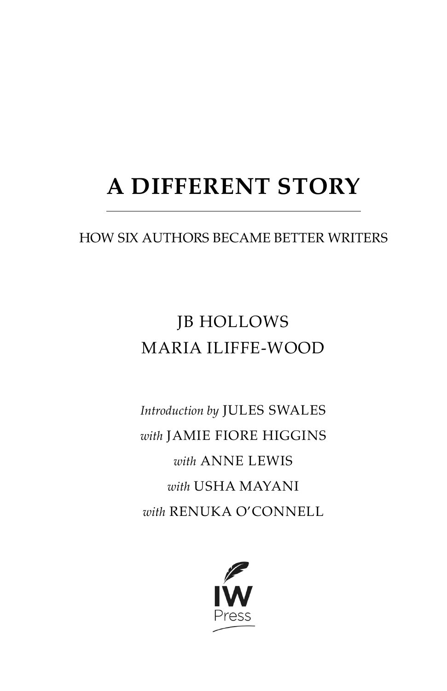# **A DIFFERENT STORY**

### HOW SIX AUTHORS BECAME BETTER WRITERS

## JB HOLLOWS MARIA ILIFFE-WOOD

*Introduction by* JULES SWALES *with* JAMIE FIORE HIGGINS *with* ANNE LEWIS *with* USHA MAYANI *with* RENUKA O'CONNELL

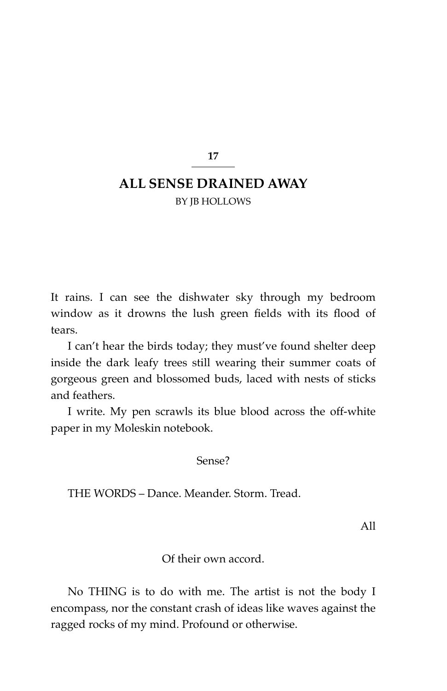**17**

### **ALL SENSE DRAINED AWAY**

BY JB HOLLOWS

It rains. I can see the dishwater sky through my bedroom window as it drowns the lush green fields with its flood of tears.

I can't hear the birds today; they must've found shelter deep inside the dark leafy trees still wearing their summer coats of gorgeous green and blossomed buds, laced with nests of sticks and feathers.

I write. My pen scrawls its blue blood across the off-white paper in my Moleskin notebook.

Sense?

THE WORDS – Dance. Meander. Storm. Tread.

All

Of their own accord.

No THING is to do with me. The artist is not the body I encompass, nor the constant crash of ideas like waves against the ragged rocks of my mind. Profound or otherwise.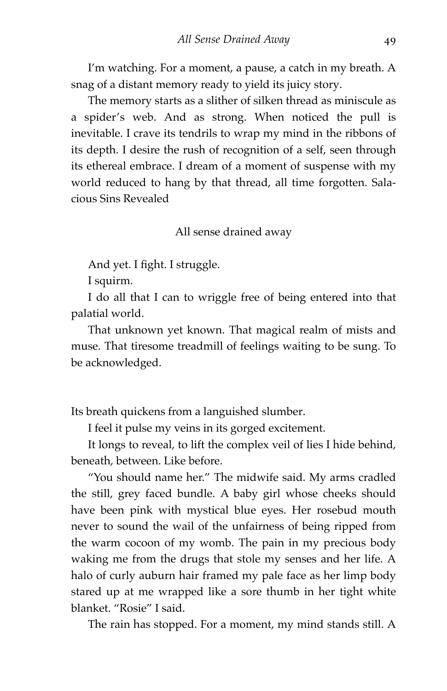I'm watching. For a moment, a pause, a catch in my breath. A snag of a distant memory ready to yield its juicy story.

The memory starts as a slither of silken thread as miniscule as a spider's web. And as strong. When noticed the pull is inevitable. I crave its tendrils to wrap my mind in the ribbons of its depth. I desire the rush of recognition of a self, seen through its ethereal embrace. I dream of a moment of suspense with my world reduced to hang by that thread, all time forgotten. Salacious Sins Revealed

All sense drained away

And yet. I fight. I struggle.

I squirm.

I do all that I can to wriggle free of being entered into that palatial world.

That unknown yet known. That magical realm of mists and muse. That tiresome treadmill of feelings waiting to be sung. To be acknowledged.

Its breath quickens from a languished slumber.

I feel it pulse my veins in its gorged excitement.

It longs to reveal, to lift the complex veil of lies I hide behind, beneath, between. Like before.

"You should name her." The midwife said. My arms cradled the still, grey faced bundle. A baby girl whose cheeks should have been pink with mystical blue eyes. Her rosebud mouth never to sound the wail of the unfairness of being ripped from the warm cocoon of my womb. The pain in my precious body waking me from the drugs that stole my senses and her life. A halo of curly auburn hair framed my pale face as her limp body stared up at me wrapped like a sore thumb in her tight white blanket. "Rosie" I said.

The rain has stopped. For a moment, my mind stands still. A